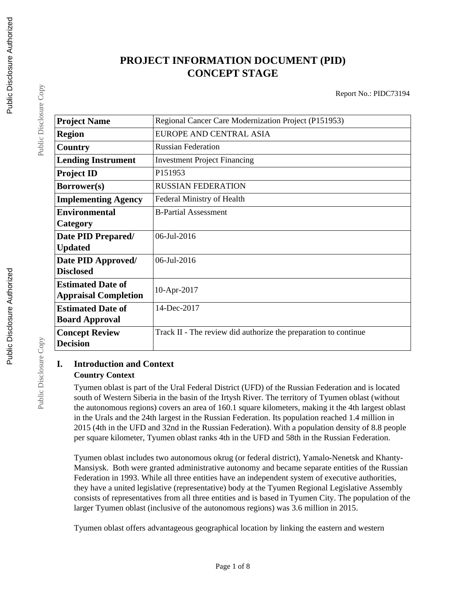# **PROJECT INFORMATION DOCUMENT (PID) CONCEPT STAGE**

Report No.: PIDC73194

| <b>Project Name</b>         | Regional Cancer Care Modernization Project (P151953)            |
|-----------------------------|-----------------------------------------------------------------|
| <b>Region</b>               | EUROPE AND CENTRAL ASIA                                         |
| Country                     | <b>Russian Federation</b>                                       |
| <b>Lending Instrument</b>   | <b>Investment Project Financing</b>                             |
| <b>Project ID</b>           | P151953                                                         |
| Borrower(s)                 | <b>RUSSIAN FEDERATION</b>                                       |
| <b>Implementing Agency</b>  | Federal Ministry of Health                                      |
| <b>Environmental</b>        | <b>B-Partial Assessment</b>                                     |
| Category                    |                                                                 |
| Date PID Prepared/          | 06-Jul-2016                                                     |
| <b>Updated</b>              |                                                                 |
| Date PID Approved/          | $06$ -Jul-2016                                                  |
| <b>Disclosed</b>            |                                                                 |
| <b>Estimated Date of</b>    | 10-Apr-2017                                                     |
| <b>Appraisal Completion</b> |                                                                 |
| <b>Estimated Date of</b>    | 14-Dec-2017                                                     |
| <b>Board Approval</b>       |                                                                 |
| <b>Concept Review</b>       | Track II - The review did authorize the preparation to continue |
| <b>Decision</b>             |                                                                 |

## **I. Introduction and Context Country Context**

Tyumen oblast is part of the Ural Federal District (UFD) of the Russian Federation and is located south of Western Siberia in the basin of the Irtysh River. The territory of Tyumen oblast (without the autonomous regions) covers an area of 160.1 square kilometers, making it the 4th largest oblast in the Urals and the 24th largest in the Russian Federation. Its population reached 1.4 million in 2015 (4th in the UFD and 32nd in the Russian Federation). With a population density of 8.8 people per square kilometer, Tyumen oblast ranks 4th in the UFD and 58th in the Russian Federation.

Tyumen oblast includes two autonomous okrug (or federal district), Yamalo-Nenetsk and Khanty-Mansiysk. Both were granted administrative autonomy and became separate entities of the Russian Federation in 1993. While all three entities have an independent system of executive authorities, they have a united legislative (representative) body at the Tyumen Regional Legislative Assembly consists of representatives from all three entities and is based in Tyumen City. The population of the larger Tyumen oblast (inclusive of the autonomous regions) was 3.6 million in 2015.

Tyumen oblast offers advantageous geographical location by linking the eastern and western

Public Disclosure Copy

Public Disclosure Copy

Public Disclosure Copy

Public Disclosure Copy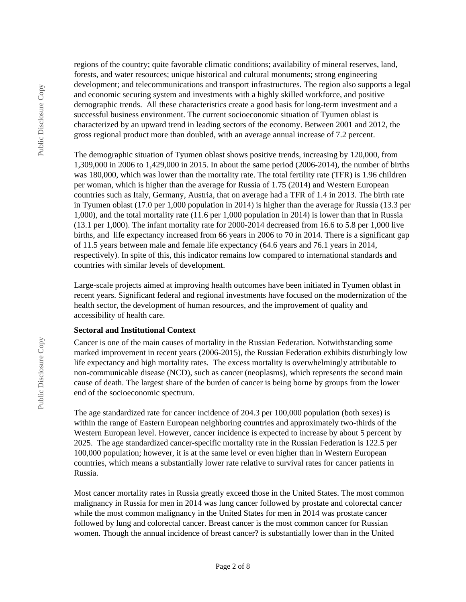regions of the country; quite favorable climatic conditions; availability of mineral reserves, land, forests, and water resources; unique historical and cultural monuments; strong engineering development; and telecommunications and transport infrastructures. The region also supports a legal and economic securing system and investments with a highly skilled workforce, and positive demographic trends. All these characteristics create a good basis for long-term investment and a successful business environment. The current socioeconomic situation of Tyumen oblast is characterized by an upward trend in leading sectors of the economy. Between 2001 and 2012, the gross regional product more than doubled, with an average annual increase of 7.2 percent.

The demographic situation of Tyumen oblast shows positive trends, increasing by 120,000, from 1,309,000 in 2006 to 1,429,000 in 2015. In about the same period (2006-2014), the number of births was 180,000, which was lower than the mortality rate. The total fertility rate (TFR) is 1.96 children per woman, which is higher than the average for Russia of 1.75 (2014) and Western European countries such as Italy, Germany, Austria, that on average had a TFR of 1.4 in 2013. The birth rate in Tyumen oblast (17.0 per 1,000 population in 2014) is higher than the average for Russia (13.3 per 1,000), and the total mortality rate (11.6 per 1,000 population in 2014) is lower than that in Russia (13.1 per 1,000). The infant mortality rate for 2000-2014 decreased from 16.6 to 5.8 per 1,000 live births, and life expectancy increased from 66 years in 2006 to 70 in 2014. There is a significant gap of 11.5 years between male and female life expectancy (64.6 years and 76.1 years in 2014, respectively). In spite of this, this indicator remains low compared to international standards and countries with similar levels of development.

Large-scale projects aimed at improving health outcomes have been initiated in Tyumen oblast in recent years. Significant federal and regional investments have focused on the modernization of the health sector, the development of human resources, and the improvement of quality and accessibility of health care.

#### **Sectoral and Institutional Context**

Cancer is one of the main causes of mortality in the Russian Federation. Notwithstanding some marked improvement in recent years (2006-2015), the Russian Federation exhibits disturbingly low life expectancy and high mortality rates. The excess mortality is overwhelmingly attributable to non-communicable disease (NCD), such as cancer (neoplasms), which represents the second main cause of death. The largest share of the burden of cancer is being borne by groups from the lower end of the socioeconomic spectrum.

The age standardized rate for cancer incidence of 204.3 per 100,000 population (both sexes) is within the range of Eastern European neighboring countries and approximately two-thirds of the Western European level. However, cancer incidence is expected to increase by about 5 percent by 2025. The age standardized cancer-specific mortality rate in the Russian Federation is 122.5 per 100,000 population; however, it is at the same level or even higher than in Western European countries, which means a substantially lower rate relative to survival rates for cancer patients in Russia.

Most cancer mortality rates in Russia greatly exceed those in the United States. The most common malignancy in Russia for men in 2014 was lung cancer followed by prostate and colorectal cancer while the most common malignancy in the United States for men in 2014 was prostate cancer followed by lung and colorectal cancer. Breast cancer is the most common cancer for Russian women. Though the annual incidence of breast cancer? is substantially lower than in the United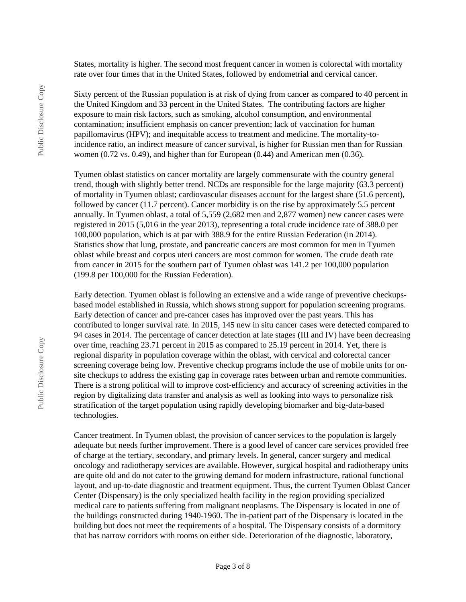States, mortality is higher. The second most frequent cancer in women is colorectal with mortality rate over four times that in the United States, followed by endometrial and cervical cancer.

Sixty percent of the Russian population is at risk of dying from cancer as compared to 40 percent in the United Kingdom and 33 percent in the United States. The contributing factors are higher exposure to main risk factors, such as smoking, alcohol consumption, and environmental contamination; insufficient emphasis on cancer prevention; lack of vaccination for human papillomavirus (HPV); and inequitable access to treatment and medicine. The mortality-toincidence ratio, an indirect measure of cancer survival, is higher for Russian men than for Russian women (0.72 vs. 0.49), and higher than for European (0.44) and American men (0.36).

Tyumen oblast statistics on cancer mortality are largely commensurate with the country general trend, though with slightly better trend. NCDs are responsible for the large majority (63.3 percent) of mortality in Tyumen oblast; cardiovascular diseases account for the largest share (51.6 percent), followed by cancer (11.7 percent). Cancer morbidity is on the rise by approximately 5.5 percent annually. In Tyumen oblast, a total of 5,559 (2,682 men and 2,877 women) new cancer cases were registered in 2015 (5,016 in the year 2013), representing a total crude incidence rate of 388.0 per 100,000 population, which is at par with 388.9 for the entire Russian Federation (in 2014). Statistics show that lung, prostate, and pancreatic cancers are most common for men in Tyumen oblast while breast and corpus uteri cancers are most common for women. The crude death rate from cancer in 2015 for the southern part of Tyumen oblast was 141.2 per 100,000 population (199.8 per 100,000 for the Russian Federation).

Early detection. Tyumen oblast is following an extensive and a wide range of preventive checkupsbased model established in Russia, which shows strong support for population screening programs. Early detection of cancer and pre-cancer cases has improved over the past years. This has contributed to longer survival rate. In 2015, 145 new in situ cancer cases were detected compared to 94 cases in 2014. The percentage of cancer detection at late stages (III and IV) have been decreasing over time, reaching 23.71 percent in 2015 as compared to 25.19 percent in 2014. Yet, there is regional disparity in population coverage within the oblast, with cervical and colorectal cancer screening coverage being low. Preventive checkup programs include the use of mobile units for onsite checkups to address the existing gap in coverage rates between urban and remote communities. There is a strong political will to improve cost-efficiency and accuracy of screening activities in the region by digitalizing data transfer and analysis as well as looking into ways to personalize risk stratification of the target population using rapidly developing biomarker and big-data-based technologies.

Cancer treatment. In Tyumen oblast, the provision of cancer services to the population is largely adequate but needs further improvement. There is a good level of cancer care services provided free of charge at the tertiary, secondary, and primary levels. In general, cancer surgery and medical oncology and radiotherapy services are available. However, surgical hospital and radiotherapy units are quite old and do not cater to the growing demand for modern infrastructure, rational functional layout, and up-to-date diagnostic and treatment equipment. Thus, the current Tyumen Oblast Cancer Center (Dispensary) is the only specialized health facility in the region providing specialized medical care to patients suffering from malignant neoplasms. The Dispensary is located in one of the buildings constructed during 1940-1960. The in-patient part of the Dispensary is located in the building but does not meet the requirements of a hospital. The Dispensary consists of a dormitory that has narrow corridors with rooms on either side. Deterioration of the diagnostic, laboratory,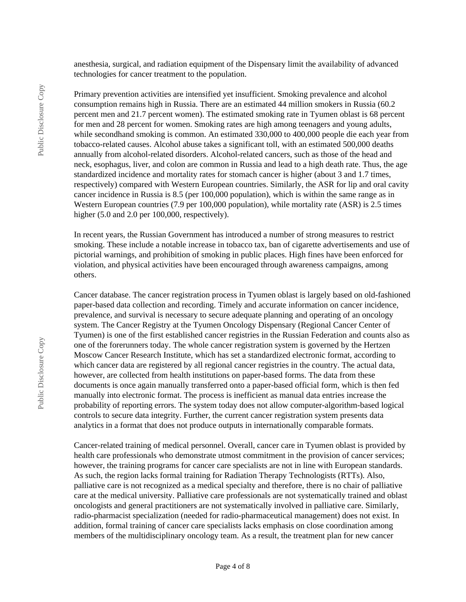anesthesia, surgical, and radiation equipment of the Dispensary limit the availability of advanced technologies for cancer treatment to the population.

Primary prevention activities are intensified yet insufficient. Smoking prevalence and alcohol consumption remains high in Russia. There are an estimated 44 million smokers in Russia (60.2 percent men and 21.7 percent women). The estimated smoking rate in Tyumen oblast is 68 percent for men and 28 percent for women. Smoking rates are high among teenagers and young adults, while secondhand smoking is common. An estimated 330,000 to 400,000 people die each year from tobacco-related causes. Alcohol abuse takes a significant toll, with an estimated 500,000 deaths annually from alcohol-related disorders. Alcohol-related cancers, such as those of the head and neck, esophagus, liver, and colon are common in Russia and lead to a high death rate. Thus, the age standardized incidence and mortality rates for stomach cancer is higher (about 3 and 1.7 times, respectively) compared with Western European countries. Similarly, the ASR for lip and oral cavity cancer incidence in Russia is 8.5 (per 100,000 population), which is within the same range as in Western European countries (7.9 per 100,000 population), while mortality rate (ASR) is 2.5 times higher (5.0 and 2.0 per 100,000, respectively).

In recent years, the Russian Government has introduced a number of strong measures to restrict smoking. These include a notable increase in tobacco tax, ban of cigarette advertisements and use of pictorial warnings, and prohibition of smoking in public places. High fines have been enforced for violation, and physical activities have been encouraged through awareness campaigns, among others.

Cancer database. The cancer registration process in Tyumen oblast is largely based on old-fashioned paper-based data collection and recording. Timely and accurate information on cancer incidence, prevalence, and survival is necessary to secure adequate planning and operating of an oncology system. The Cancer Registry at the Tyumen Oncology Dispensary (Regional Cancer Center of Tyumen) is one of the first established cancer registries in the Russian Federation and counts also as one of the forerunners today. The whole cancer registration system is governed by the Hertzen Moscow Cancer Research Institute, which has set a standardized electronic format, according to which cancer data are registered by all regional cancer registries in the country. The actual data, however, are collected from health institutions on paper-based forms. The data from these documents is once again manually transferred onto a paper-based official form, which is then fed manually into electronic format. The process is inefficient as manual data entries increase the probability of reporting errors. The system today does not allow computer-algorithm-based logical controls to secure data integrity. Further, the current cancer registration system presents data analytics in a format that does not produce outputs in internationally comparable formats.

Cancer-related training of medical personnel. Overall, cancer care in Tyumen oblast is provided by health care professionals who demonstrate utmost commitment in the provision of cancer services; however, the training programs for cancer care specialists are not in line with European standards. As such, the region lacks formal training for Radiation Therapy Technologists (RTTs). Also, palliative care is not recognized as a medical specialty and therefore, there is no chair of palliative care at the medical university. Palliative care professionals are not systematically trained and oblast oncologists and general practitioners are not systematically involved in palliative care. Similarly, radio-pharmacist specialization (needed for radio-pharmaceutical management) does not exist. In addition, formal training of cancer care specialists lacks emphasis on close coordination among members of the multidisciplinary oncology team. As a result, the treatment plan for new cancer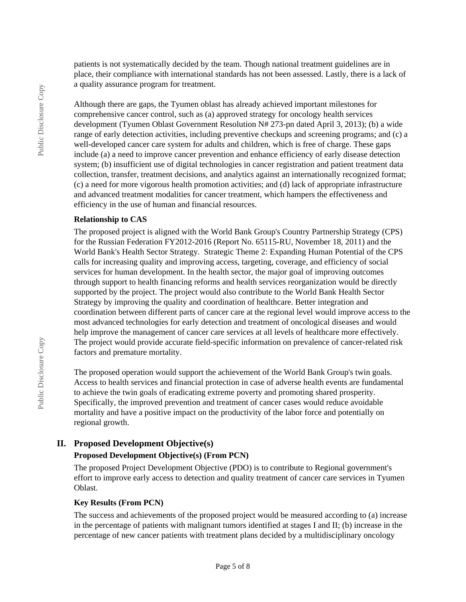patients is not systematically decided by the team. Though national treatment guidelines are in place, their compliance with international standards has not been assessed. Lastly, there is a lack of a quality assurance program for treatment.

Although there are gaps, the Tyumen oblast has already achieved important milestones for comprehensive cancer control, such as (a) approved strategy for oncology health services development (Tyumen Oblast Government Resolution N# 273-pn dated April 3, 2013); (b) a wide range of early detection activities, including preventive checkups and screening programs; and (c) a well-developed cancer care system for adults and children, which is free of charge. These gaps include (a) a need to improve cancer prevention and enhance efficiency of early disease detection system; (b) insufficient use of digital technologies in cancer registration and patient treatment data collection, transfer, treatment decisions, and analytics against an internationally recognized format; (c) a need for more vigorous health promotion activities; and (d) lack of appropriate infrastructure and advanced treatment modalities for cancer treatment, which hampers the effectiveness and efficiency in the use of human and financial resources.

#### **Relationship to CAS**

The proposed project is aligned with the World Bank Group's Country Partnership Strategy (CPS) for the Russian Federation FY2012-2016 (Report No. 65115-RU, November 18, 2011) and the World Bank's Health Sector Strategy. Strategic Theme 2: Expanding Human Potential of the CPS calls for increasing quality and improving access, targeting, coverage, and efficiency of social services for human development. In the health sector, the major goal of improving outcomes through support to health financing reforms and health services reorganization would be directly supported by the project. The project would also contribute to the World Bank Health Sector Strategy by improving the quality and coordination of healthcare. Better integration and coordination between different parts of cancer care at the regional level would improve access to the most advanced technologies for early detection and treatment of oncological diseases and would help improve the management of cancer care services at all levels of healthcare more effectively. The project would provide accurate field-specific information on prevalence of cancer-related risk factors and premature mortality.

The proposed operation would support the achievement of the World Bank Group's twin goals. Access to health services and financial protection in case of adverse health events are fundamental to achieve the twin goals of eradicating extreme poverty and promoting shared prosperity. Specifically, the improved prevention and treatment of cancer cases would reduce avoidable mortality and have a positive impact on the productivity of the labor force and potentially on regional growth.

## **II. Proposed Development Objective(s)**

## **Proposed Development Objective(s) (From PCN)**

The proposed Project Development Objective (PDO) is to contribute to Regional government's effort to improve early access to detection and quality treatment of cancer care services in Tyumen Oblast.

#### **Key Results (From PCN)**

The success and achievements of the proposed project would be measured according to (a) increase in the percentage of patients with malignant tumors identified at stages I and II; (b) increase in the percentage of new cancer patients with treatment plans decided by a multidisciplinary oncology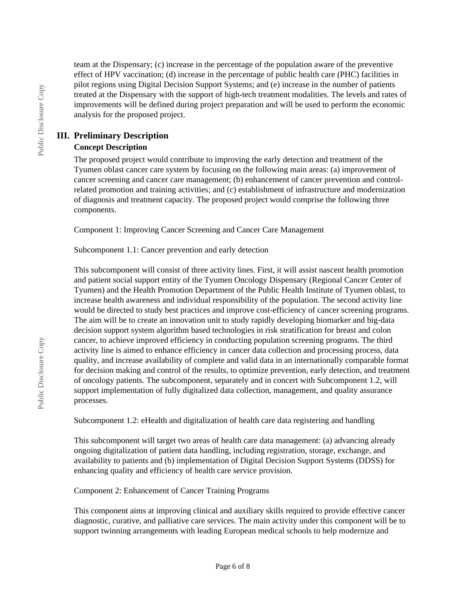team at the Dispensary; (c) increase in the percentage of the population aware of the preventive effect of HPV vaccination; (d) increase in the percentage of public health care (PHC) facilities in pilot regions using Digital Decision Support Systems; and (e) increase in the number of patients treated at the Dispensary with the support of high-tech treatment modalities. The levels and rates of improvements will be defined during project preparation and will be used to perform the economic analysis for the proposed project.

## **III. Preliminary Description**

## **Concept Description**

The proposed project would contribute to improving the early detection and treatment of the Tyumen oblast cancer care system by focusing on the following main areas: (a) improvement of cancer screening and cancer care management; (b) enhancement of cancer prevention and controlrelated promotion and training activities; and (c) establishment of infrastructure and modernization of diagnosis and treatment capacity. The proposed project would comprise the following three components.

Component 1: Improving Cancer Screening and Cancer Care Management

Subcomponent 1.1: Cancer prevention and early detection

This subcomponent will consist of three activity lines. First, it will assist nascent health promotion and patient social support entity of the Tyumen Oncology Dispensary (Regional Cancer Center of Tyumen) and the Health Promotion Department of the Public Health Institute of Tyumen oblast, to increase health awareness and individual responsibility of the population. The second activity line would be directed to study best practices and improve cost-efficiency of cancer screening programs. The aim will be to create an innovation unit to study rapidly developing biomarker and big-data decision support system algorithm based technologies in risk stratification for breast and colon cancer, to achieve improved efficiency in conducting population screening programs. The third activity line is aimed to enhance efficiency in cancer data collection and processing process, data quality, and increase availability of complete and valid data in an internationally comparable format for decision making and control of the results, to optimize prevention, early detection, and treatment of oncology patients. The subcomponent, separately and in concert with Subcomponent 1.2, will support implementation of fully digitalized data collection, management, and quality assurance processes.

Subcomponent 1.2: eHealth and digitalization of health care data registering and handling

This subcomponent will target two areas of health care data management: (a) advancing already ongoing digitalization of patient data handling, including registration, storage, exchange, and availability to patients and (b) implementation of Digital Decision Support Systems (DDSS) for enhancing quality and efficiency of health care service provision.

## Component 2: Enhancement of Cancer Training Programs

This component aims at improving clinical and auxiliary skills required to provide effective cancer diagnostic, curative, and palliative care services. The main activity under this component will be to support twinning arrangements with leading European medical schools to help modernize and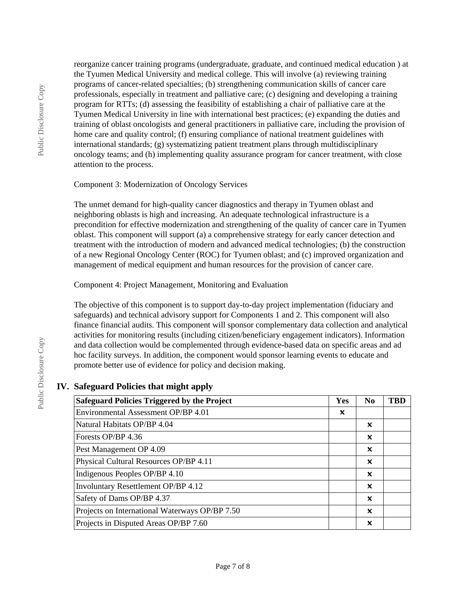reorganize cancer training programs (undergraduate, graduate, and continued medical education ) at the Tyumen Medical University and medical college. This will involve (a) reviewing training programs of cancer-related specialties; (b) strengthening communication skills of cancer care professionals, especially in treatment and palliative care; (c) designing and developing a training program for RTTs; (d) assessing the feasibility of establishing a chair of palliative care at the Tyumen Medical University in line with international best practices; (e) expanding the duties and training of oblast oncologists and general practitioners in palliative care, including the provision of home care and quality control; (f) ensuring compliance of national treatment guidelines with international standards;  $(g)$  systematizing patient treatment plans through multidisciplinary oncology teams; and (h) implementing quality assurance program for cancer treatment, with close attention to the process.

#### Component 3: Modernization of Oncology Services

The unmet demand for high-quality cancer diagnostics and therapy in Tyumen oblast and neighboring oblasts is high and increasing. An adequate technological infrastructure is a precondition for effective modernization and strengthening of the quality of cancer care in Tyumen oblast. This component will support (a) a comprehensive strategy for early cancer detection and treatment with the introduction of modern and advanced medical technologies; (b) the construction of a new Regional Oncology Center (ROC) for Tyumen oblast; and (c) improved organization and management of medical equipment and human resources for the provision of cancer care.

## Component 4: Project Management, Monitoring and Evaluation

The objective of this component is to support day-to-day project implementation (fiduciary and safeguards) and technical advisory support for Components 1 and 2. This component will also finance financial audits. This component will sponsor complementary data collection and analytical activities for monitoring results (including citizen/beneficiary engagement indicators). Information and data collection would be complemented through evidence-based data on specific areas and ad hoc facility surveys. In addition, the component would sponsor learning events to educate and promote better use of evidence for policy and decision making.

## **IV. Safeguard Policies that might apply**

| <b>Safeguard Policies Triggered by the Project</b> |   | $\bf No$ | <b>TBD</b> |
|----------------------------------------------------|---|----------|------------|
| Environmental Assessment OP/BP 4.01                | × |          |            |
| Natural Habitats OP/BP 4.04                        |   | x        |            |
| Forests OP/BP 4.36                                 |   | x        |            |
| Pest Management OP 4.09                            |   | ×        |            |
| Physical Cultural Resources OP/BP 4.11             |   | x        |            |
| Indigenous Peoples OP/BP 4.10                      |   | x        |            |
| Involuntary Resettlement OP/BP 4.12                |   | ×        |            |
| Safety of Dams OP/BP 4.37                          |   | x        |            |
| Projects on International Waterways OP/BP 7.50     |   | X        |            |
| Projects in Disputed Areas OP/BP 7.60              |   | X        |            |